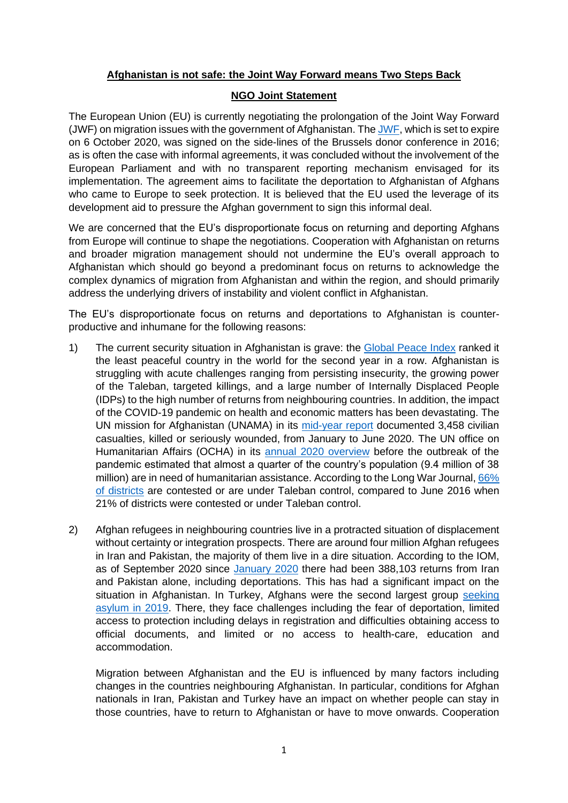## **Afghanistan is not safe: the Joint Way Forward means Two Steps Back**

## **NGO Joint Statement**

The European Union (EU) is currently negotiating the prolongation of the Joint Way Forward (JWF) on migration issues with the government of Afghanistan. Th[e JWF,](https://eeas.europa.eu/sites/eeas/files/eu_afghanistan_joint_way_forward_on_migration_issues.pdf) which is set to expire on 6 October 2020, was signed on the side-lines of the Brussels donor conference in 2016; as is often the case with informal agreements, it was concluded without the involvement of the European Parliament and with no transparent reporting mechanism envisaged for its implementation. The agreement aims to facilitate the deportation to Afghanistan of Afghans who came to Europe to seek protection. It is believed that the EU used the leverage of its development aid to pressure the Afghan government to sign this informal deal.

We are concerned that the EU's disproportionate focus on returning and deporting Afghans from Europe will continue to shape the negotiations. Cooperation with Afghanistan on returns and broader migration management should not undermine the EU's overall approach to Afghanistan which should go beyond a predominant focus on returns to acknowledge the complex dynamics of migration from Afghanistan and within the region, and should primarily address the underlying drivers of instability and violent conflict in Afghanistan.

The EU's disproportionate focus on returns and deportations to Afghanistan is counterproductive and inhumane for the following reasons:

- 1) The current security situation in Afghanistan is grave: the [Global Peace Index](http://visionofhumanity.org/app/uploads/2020/06/GPI_2020_web.pdf) ranked it the least peaceful country in the world for the second year in a row. Afghanistan is struggling with acute challenges ranging from persisting insecurity, the growing power of the Taleban, targeted killings, and a large number of Internally Displaced People (IDPs) to the high number of returns from neighbouring countries. In addition, the impact of the COVID-19 pandemic on health and economic matters has been devastating. The UN mission for Afghanistan (UNAMA) in its [mid-year report](https://unama.unmissions.org/sites/default/files/unama_poc_midyear_report_2020_-_27_july-revised_10_august.pdf) documented 3,458 civilian casualties, killed or seriously wounded, from January to June 2020. The UN office on Humanitarian Affairs (OCHA) in its [annual 2020 overview](https://reliefweb.int/report/afghanistan/afghanistan-humanitarian-needs-overview-2020-december-2019) before the outbreak of the pandemic estimated that almost a quarter of the country's population (9.4 million of 38 million) are in need of humanitarian assistance. According to the Long War Journal, 66% [of districts](https://www.longwarjournal.org/mapping-taliban-control-in-afghanistan) are contested or are under Taleban control, compared to June 2016 when 21% of districts were contested or under Taleban control.
- 2) Afghan refugees in neighbouring countries live in a protracted situation of displacement without certainty or integration prospects. There are around four million Afghan refugees in Iran and Pakistan, the majority of them live in a dire situation. According to the IOM, as of September 2020 since [January 2020](https://afghanistan.iom.int/sites/default/files/Reports/iom_afghanistan-return_of_undocumented_afghans-_situation_report_12-18_july_2020.pdf) there had been 388,103 returns from Iran and Pakistan alone, including deportations. This has had a significant impact on the situation in Afghanistan. In Turkey, Afghans were the second largest group seeking asylum [in 2019.](https://reliefweb.int/sites/reliefweb.int/files/resources/115_destination_unknown_research_report.pdf) There, they face challenges including the fear of deportation, limited access to protection including delays in registration and difficulties obtaining access to official documents, and limited or no access to health-care, education and accommodation.

Migration between Afghanistan and the EU is influenced by many factors including changes in the countries neighbouring Afghanistan. In particular, conditions for Afghan nationals in Iran, Pakistan and Turkey have an impact on whether people can stay in those countries, have to return to Afghanistan or have to move onwards. Cooperation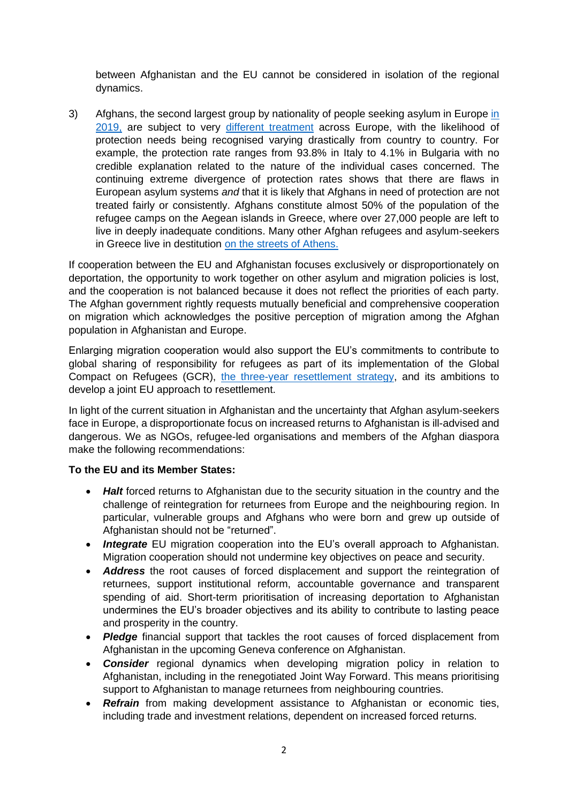between Afghanistan and the EU cannot be considered in isolation of the regional dynamics.

3) Afghans, the second largest group by nationality of people seeking asylum in Europe [in](https://www.easo.europa.eu/asylum-trends-annual-overview)  [2019,](https://www.easo.europa.eu/asylum-trends-annual-overview) are subject to very different [treatment](https://ec.europa.eu/eurostat/documents/2995521/10774018/3-27042020-AP-EN.pdf/b8a85589-ab49-fdef-c8c0-b06c0f3db5e6) across Europe, with the likelihood of protection needs being recognised varying drastically from country to country. For example, the protection rate ranges from 93.8% in Italy to 4.1% in Bulgaria with no credible explanation related to the nature of the individual cases concerned. The continuing extreme divergence of protection rates shows that there are flaws in European asylum systems *and* that it is likely that Afghans in need of protection are not treated fairly or consistently. Afghans constitute almost 50% of the population of the refugee camps on the Aegean islands in Greece, where over 27,000 people are left to live in deeply inadequate conditions. Many other Afghan refugees and asylum-seekers in Greece live in destitution [on the streets of Athens.](https://www.msf.org/greece-evicts-vulnerable-refugees-leaves-them-streets)

If cooperation between the EU and Afghanistan focuses exclusively or disproportionately on deportation, the opportunity to work together on other asylum and migration policies is lost, and the cooperation is not balanced because it does not reflect the priorities of each party. The Afghan government rightly requests mutually beneficial and comprehensive cooperation on migration which acknowledges the positive perception of migration among the Afghan population in Afghanistan and Europe.

Enlarging migration cooperation would also support the EU's commitments to contribute to global sharing of responsibility for refugees as part of its implementation of the Global Compact on Refugees (GCR), [the three-year resettlement](https://www.unhcr.org/protection/resettlement/5d15db254/three-year-strategy-resettlement-complementary-pathways.html) strategy, and its ambitions to develop a joint EU approach to resettlement.

In light of the current situation in Afghanistan and the uncertainty that Afghan asylum-seekers face in Europe, a disproportionate focus on increased returns to Afghanistan is ill-advised and dangerous. We as NGOs, refugee-led organisations and members of the Afghan diaspora make the following recommendations:

## **To the EU and its Member States:**

- *Halt* forced returns to Afghanistan due to the security situation in the country and the challenge of reintegration for returnees from Europe and the neighbouring region. In particular, vulnerable groups and Afghans who were born and grew up outside of Afghanistan should not be "returned".
- *Integrate* EU migration cooperation into the EU's overall approach to Afghanistan. Migration cooperation should not undermine key objectives on peace and security.
- *Address* the root causes of forced displacement and support the reintegration of returnees, support institutional reform, accountable governance and transparent spending of aid. Short-term prioritisation of increasing deportation to Afghanistan undermines the EU's broader objectives and its ability to contribute to lasting peace and prosperity in the country.
- *Pledge* financial support that tackles the root causes of forced displacement from Afghanistan in the upcoming Geneva conference on Afghanistan.
- *Consider* regional dynamics when developing migration policy in relation to Afghanistan, including in the renegotiated Joint Way Forward. This means prioritising support to Afghanistan to manage returnees from neighbouring countries.
- **Refrain** from making development assistance to Afghanistan or economic ties, including trade and investment relations, dependent on increased forced returns.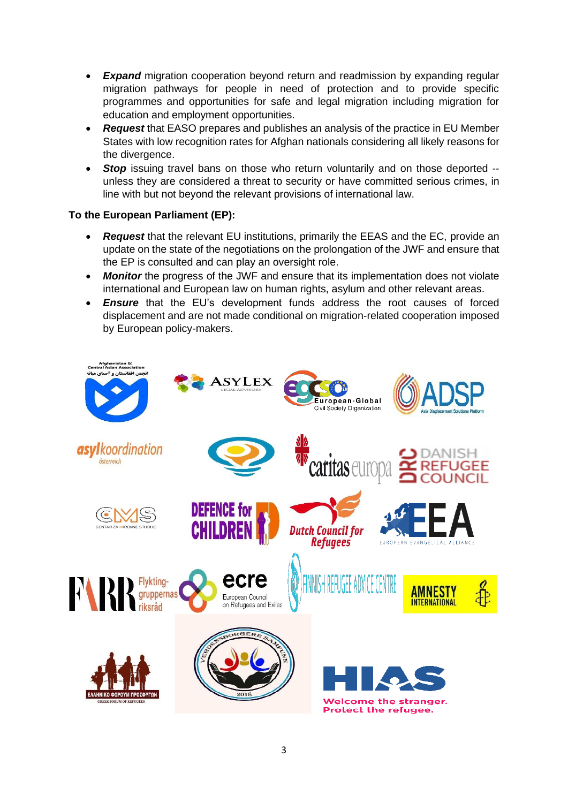- **Expand** migration cooperation beyond return and readmission by expanding regular migration pathways for people in need of protection and to provide specific programmes and opportunities for safe and legal migration including migration for education and employment opportunities.
- *Request* that EASO prepares and publishes an analysis of the practice in EU Member States with low recognition rates for Afghan nationals considering all likely reasons for the divergence.
- **Stop** issuing travel bans on those who return voluntarily and on those deported -unless they are considered a threat to security or have committed serious crimes, in line with but not beyond the relevant provisions of international law.

## **To the European Parliament (EP):**

- *Request* that the relevant EU institutions, primarily the EEAS and the EC, provide an update on the state of the negotiations on the prolongation of the JWF and ensure that the EP is consulted and can play an oversight role.
- *Monitor* the progress of the JWF and ensure that its implementation does not violate international and European law on human rights, asylum and other relevant areas.
- *Ensure* that the EU's development funds address the root causes of forced displacement and are not made conditional on migration-related cooperation imposed by European policy-makers.